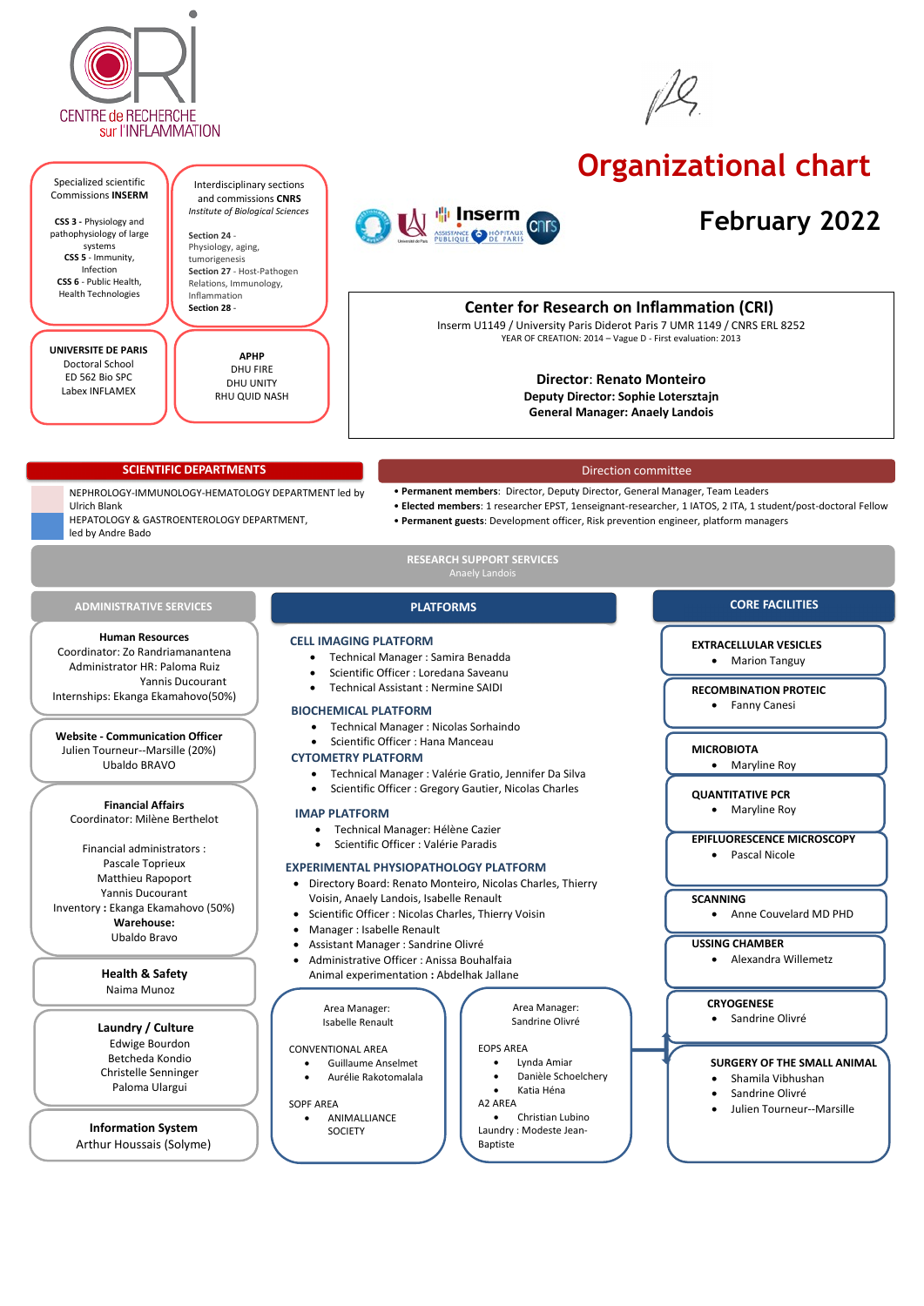



# **Organizational chart**

# **February 2022**

#### NEPHROLOGY-IMMUNOLOGY-HEMATOLOGY DEPARTMENT led by Ulrich Blank HEPATOLOGY & GASTROENTEROLOGY DEPARTMENT, led by Andre Bado

### **EXTRACELLULAR VESICLES**

• Marion Tanguy

#### **RECOMBINATION PROTEIC**

• Fanny Canesi

#### **MICROBIOTA**

• Maryline Roy

### **QUANTITATIVE PCR**

• Maryline Roy

#### **EPIFLUORESCENCE MICROSCOPY**

• Pascal Nicole

### **SCANNING**

• Anne Couvelard MD PHD

#### **USSING CHAMBER**

• Alexandra Willemetz

#### **CRYOGENESE**

Sandrine Olivré

#### **SURGERY OF THE SMALL ANIMAL**

- Shamila Vibhushan
- Sandrine Olivré
- Julien Tourneur--Marsille

#### Direction committee

- **Permanent members**: Director, Deputy Director, General Manager, Team Leaders
- **Elected members**: 1 researcher EPST, 1enseignant-researcher, 1 IATOS, 2 ITA, 1 student/post-doctoral Fellow
- **Permanent guests**: Development officer, Risk prevention engineer, platform managers

**PLATFORMS**

## **Center for Research on Inflammation (CRI)**

Inserm U1149 / University Paris Diderot Paris 7 UMR 1149 / CNRS ERL 8252 YEAR OF CREATION: 2014 – Vague D - First evaluation: 2013

## **Director**: **Renato Monteiro**

**Deputy Director: Sophie Lotersztajn General Manager: Anaely Landois**

#### **CORE FACILITIES**

- Technical Manager : Nicolas Sorhaindo
- Scientific Officer : Hana Manceau

#### **CYTOMETRY PLATFORM**

• Technical Manager : Valérie Gratio, Jennifer Da Silva

• Scientific Officer : Gregory Gautier, Nicolas Charles

### **EXPERIMENTAL PHYSIOPATHOLOGY PLATFORM**

- Directory Board: Renato Monteiro, Nicolas Charles, Thierry Voisin, Anaely Landois, Isabelle Renault
- Scientific Officer : Nicolas Charles, Thierry Voisin
- Manager : Isabelle Renault
- Assistant Manager : Sandrine Olivré
- Administrative Officer : Anissa Bouhalfaia Animal experimentation **:** Abdelhak Jallane

**Human Resources** Coordinator: Zo Randriamanantena Administrator HR: Paloma Ruiz Yannis Ducourant Internships: Ekanga Ekamahovo(50%)

> Area Manager: Isabelle Renault

#### CONVENTIONAL AREA

## **BIOCHEMICAL PLATFORM** •

- Guillaume Anselmet
- Aurélie Rakotomalala

SOPF AREA

• ANIMALLIANCE SOCIETY

**Financial Affairs** Coordinator: Milène Berthelot

Financial administrators : Pascale Toprieux Matthieu Rapoport Yannis Ducourant Inventory **:** Ekanga Ekamahovo (50%) **Warehouse:** Ubaldo Bravo

> **Laundry / Culture** Edwige Bourdon Betcheda Kondio Christelle Senninger Paloma Ulargui

**Information System** Arthur Houssais (Solyme)

#### **Website - Communication Officer** Julien Tourneur--Marsille (20%)

Ubaldo BRAVO

Area Manager: Sandrine Olivré

#### EOPS AREA

- Lynda Amiar
- Danièle Schoelchery
- Katia Héna

A2 AREA

• Christian Lubino Laundry : Modeste Jean-Baptiste

### **Health & Safety**

#### Naima Munoz

- **CELL IMAGING PLATFORM**
	- Technical Manager : Samira Benadda
	- Scientific Officer : Loredana Saveanu
	- Technical Assistant : Nermine SAIDI

#### **SCIENTIFIC DEPARTMENTS**

#### **RESEARCH SUPPORT SERVICES** Anaely Landois

### **ADMINISTRATIVE SERVICES**

#### Specialized scientific Commissions **INSERM**

**CSS 3 -** Physiology and pathophysiology of large systems **CSS 5** - Immunity, Infection **CSS 6** - Public Health, Health Technologies

Interdisciplinary sections



and commissions **CNRS** *Institute of Biological Sciences* **Section 24** - Physiology, aging, tumorigenesis **Section 27** - Host-Pathogen

Relations, Immunology,

Inflammation **Section 28** -

**UNIVERSITE DE PARIS** Doctoral School ED 562 Bio SPC Labex INFLAMEX

**APHP** DHU FIRE DHU UNITY RHU QUID NASH

#### **IMAP PLATFORM**

- Technical Manager: Hélène Cazier
- Scientific Officer : Valérie Paradis